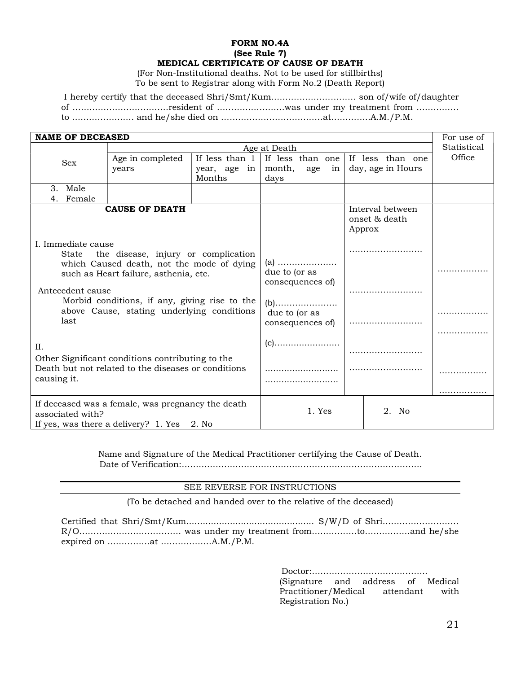## FORM NO.4A (See Rule 7) MEDICAL CERTIFICATE OF CAUSE OF DEATH

(For Non-Institutional deaths. Not to be used for stillbirths) To be sent to Registrar along with Form No.2 (Death Report)

I hereby certify that the deceased Shri/Smt/Kum………………………… son of/wife of/daughter of …………………………….resident of ……………………was under my treatment from …………… to …………………. and he/she died on ………………………………at…………..A.M./P.M.

| <b>NAME OF DECEASED</b>                                                                                                 |                                                        |              |                                          |        |                                             | For use of  |
|-------------------------------------------------------------------------------------------------------------------------|--------------------------------------------------------|--------------|------------------------------------------|--------|---------------------------------------------|-------------|
|                                                                                                                         | Age at Death                                           |              |                                          |        |                                             | Statistical |
| Sex                                                                                                                     | If less than 1<br>If less than one<br>Age in completed |              | If less than one                         | Office |                                             |             |
| years                                                                                                                   |                                                        | year, age in | month,<br>age<br>in                      |        | day, age in Hours                           |             |
|                                                                                                                         |                                                        | Months       | days                                     |        |                                             |             |
| Male<br>3.                                                                                                              |                                                        |              |                                          |        |                                             |             |
| Female<br>4.                                                                                                            |                                                        |              |                                          |        |                                             |             |
| <b>CAUSE OF DEATH</b>                                                                                                   |                                                        |              |                                          |        | Interval between<br>onset & death<br>Approx |             |
| I. Immediate cause                                                                                                      |                                                        |              |                                          |        |                                             |             |
| the disease, injury or complication<br>State                                                                            |                                                        |              |                                          |        |                                             |             |
| which Caused death, not the mode of dying<br>such as Heart failure, asthenia, etc.                                      |                                                        |              | (a)<br>due to (or as<br>consequences of) |        |                                             |             |
| Antecedent cause                                                                                                        |                                                        |              |                                          |        |                                             |             |
| Morbid conditions, if any, giving rise to the                                                                           |                                                        |              | $(b)$                                    |        |                                             |             |
| above Cause, stating underlying conditions                                                                              |                                                        |              | due to (or as                            |        |                                             |             |
| last                                                                                                                    |                                                        |              | consequences of)                         |        |                                             |             |
|                                                                                                                         |                                                        |              |                                          |        |                                             |             |
| II.                                                                                                                     |                                                        |              | $(c)$                                    |        |                                             |             |
| Other Significant conditions contributing to the                                                                        |                                                        |              |                                          |        |                                             |             |
| Death but not related to the diseases or conditions<br>causing it.                                                      |                                                        |              |                                          |        |                                             |             |
|                                                                                                                         |                                                        |              |                                          |        |                                             |             |
|                                                                                                                         |                                                        |              |                                          |        |                                             |             |
| If deceased was a female, was pregnancy the death<br>associated with?<br>If yes, was there a delivery? $1.$ Yes $2.$ No |                                                        | 1. Yes       |                                          | 2. No  |                                             |             |

Name and Signature of the Medical Practitioner certifying the Cause of Death. Date of Verification:………………………………………………………………………….

## SEE REVERSE FOR INSTRUCTIONS

(To be detached and handed over to the relative of the deceased)

Certified that Shri/Smt/Kum............................................... S/W/D of Shri……………………… R/O……………………………… was under my treatment from…………….to…………….and he/she expired on ……………at ………………A.M./P.M.

> Doctor:………………………………….. (Signature and address of Medical Practitioner/Medical attendant with Registration No.)